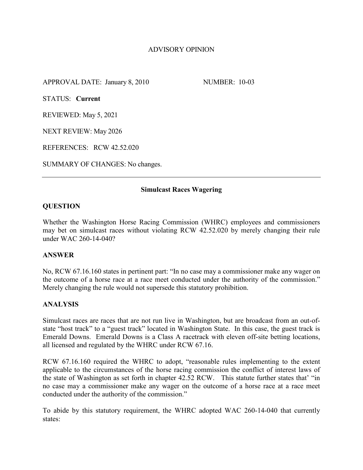# ADVISORY OPINION

APPROVAL DATE: January 8, 2010 NUMBER: 10-03

STATUS: **Current**

REVIEWED: May 5, 2021

NEXT REVIEW: May 2026

REFERENCES: RCW 42.52.020

SUMMARY OF CHANGES: No changes.

## **Simulcast Races Wagering**

## **QUESTION**

Whether the Washington Horse Racing Commission (WHRC) employees and commissioners may bet on simulcast races without violating RCW 42.52.020 by merely changing their rule under WAC 260-14-040?

## **ANSWER**

No, RCW 67.16.160 states in pertinent part: "In no case may a commissioner make any wager on the outcome of a horse race at a race meet conducted under the authority of the commission." Merely changing the rule would not supersede this statutory prohibition.

## **ANALYSIS**

Simulcast races are races that are not run live in Washington, but are broadcast from an out-ofstate "host track" to a "guest track" located in Washington State. In this case, the guest track is Emerald Downs. Emerald Downs is a Class A racetrack with eleven off-site betting locations, all licensed and regulated by the WHRC under RCW 67.16.

RCW 67.16.160 required the WHRC to adopt, "reasonable rules implementing to the extent applicable to the circumstances of the horse racing commission the conflict of interest laws of the state of Washington as set forth in chapter 42.52 RCW. This statute further states that' "in no case may a commissioner make any wager on the outcome of a horse race at a race meet conducted under the authority of the commission."

To abide by this statutory requirement, the WHRC adopted WAC 260-14-040 that currently states: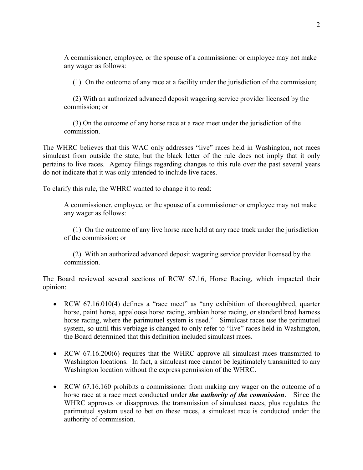A commissioner, employee, or the spouse of a commissioner or employee may not make any wager as follows:

(1) On the outcome of any race at a facility under the jurisdiction of the commission;

 (2) With an authorized advanced deposit wagering service provider licensed by the commission; or

 (3) On the outcome of any horse race at a race meet under the jurisdiction of the commission.

The WHRC believes that this WAC only addresses "live" races held in Washington, not races simulcast from outside the state, but the black letter of the rule does not imply that it only pertains to live races. Agency filings regarding changes to this rule over the past several years do not indicate that it was only intended to include live races.

To clarify this rule, the WHRC wanted to change it to read:

A commissioner, employee, or the spouse of a commissioner or employee may not make any wager as follows:

 (1) On the outcome of any live horse race held at any race track under the jurisdiction of the commission; or

 (2) With an authorized advanced deposit wagering service provider licensed by the commission.

The Board reviewed several sections of RCW 67.16, Horse Racing, which impacted their opinion:

- RCW 67.16.010(4) defines a "race meet" as "any exhibition of thoroughbred, quarter horse, paint horse, appaloosa horse racing, arabian horse racing, or standard bred harness horse racing, where the parimutuel system is used." Simulcast races use the parimutuel system, so until this verbiage is changed to only refer to "live" races held in Washington, the Board determined that this definition included simulcast races.
- RCW 67.16.200(6) requires that the WHRC approve all simulcast races transmitted to Washington locations. In fact, a simulcast race cannot be legitimately transmitted to any Washington location without the express permission of the WHRC.
- RCW 67.16.160 prohibits a commissioner from making any wager on the outcome of a horse race at a race meet conducted under *the authority of the commission*. Since the WHRC approves or disapproves the transmission of simulcast races, plus regulates the parimutuel system used to bet on these races, a simulcast race is conducted under the authority of commission.